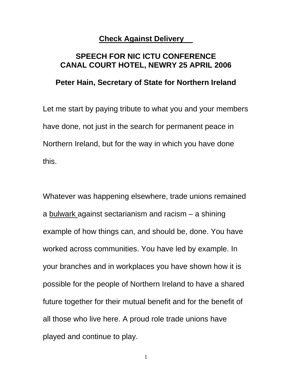## **Check Against Delivery**

## **SPEECH FOR NIC ICTU CONFERENCE CANAL COURT HOTEL, NEWRY 25 APRIL 2006**

## **Peter Hain, Secretary of State for Northern Ireland**

Let me start by paying tribute to what you and your members have done, not just in the search for permanent peace in Northern Ireland, but for the way in which you have done this.

Whatever was happening elsewhere, trade unions remained a bulwark against sectarianism and racism – a shining example of how things can, and should be, done. You have worked across communities. You have led by example. In your branches and in workplaces you have shown how it is possible for the people of Northern Ireland to have a shared future together for their mutual benefit and for the benefit of all those who live here. A proud role trade unions have played and continue to play.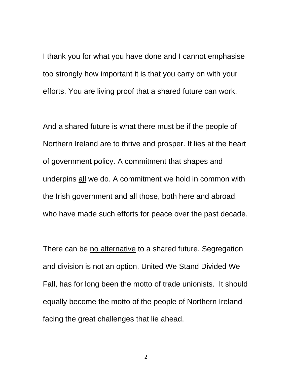I thank you for what you have done and I cannot emphasise too strongly how important it is that you carry on with your efforts. You are living proof that a shared future can work.

And a shared future is what there must be if the people of Northern Ireland are to thrive and prosper. It lies at the heart of government policy. A commitment that shapes and underpins all we do. A commitment we hold in common with the Irish government and all those, both here and abroad, who have made such efforts for peace over the past decade.

There can be no alternative to a shared future. Segregation and division is not an option. United We Stand Divided We Fall, has for long been the motto of trade unionists. It should equally become the motto of the people of Northern Ireland facing the great challenges that lie ahead.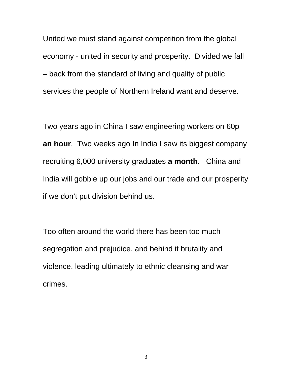United we must stand against competition from the global economy - united in security and prosperity. Divided we fall – back from the standard of living and quality of public services the people of Northern Ireland want and deserve.

Two years ago in China I saw engineering workers on 60p **an hour**. Two weeks ago In India I saw its biggest company recruiting 6,000 university graduates **a month**. China and India will gobble up our jobs and our trade and our prosperity if we don't put division behind us.

Too often around the world there has been too much segregation and prejudice, and behind it brutality and violence, leading ultimately to ethnic cleansing and war crimes.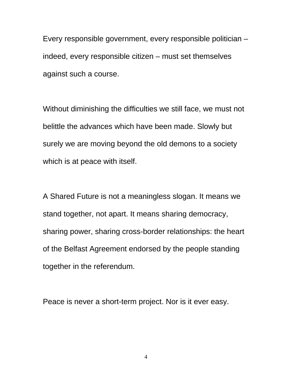Every responsible government, every responsible politician – indeed, every responsible citizen – must set themselves against such a course.

Without diminishing the difficulties we still face, we must not belittle the advances which have been made. Slowly but surely we are moving beyond the old demons to a society which is at peace with itself.

A Shared Future is not a meaningless slogan. It means we stand together, not apart. It means sharing democracy, sharing power, sharing cross-border relationships: the heart of the Belfast Agreement endorsed by the people standing together in the referendum.

Peace is never a short-term project. Nor is it ever easy.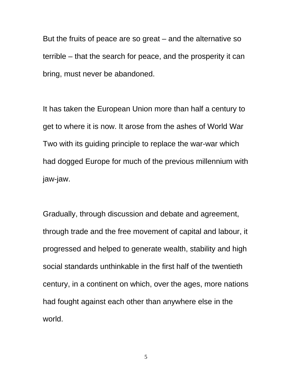But the fruits of peace are so great – and the alternative so terrible – that the search for peace, and the prosperity it can bring, must never be abandoned.

It has taken the European Union more than half a century to get to where it is now. It arose from the ashes of World War Two with its guiding principle to replace the war-war which had dogged Europe for much of the previous millennium with jaw-jaw.

Gradually, through discussion and debate and agreement, through trade and the free movement of capital and labour, it progressed and helped to generate wealth, stability and high social standards unthinkable in the first half of the twentieth century, in a continent on which, over the ages, more nations had fought against each other than anywhere else in the world.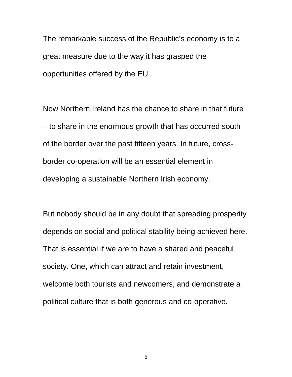The remarkable success of the Republic's economy is to a great measure due to the way it has grasped the opportunities offered by the EU.

Now Northern Ireland has the chance to share in that future – to share in the enormous growth that has occurred south of the border over the past fifteen years. In future, crossborder co-operation will be an essential element in developing a sustainable Northern Irish economy.

But nobody should be in any doubt that spreading prosperity depends on social and political stability being achieved here. That is essential if we are to have a shared and peaceful society. One, which can attract and retain investment, welcome both tourists and newcomers, and demonstrate a political culture that is both generous and co-operative.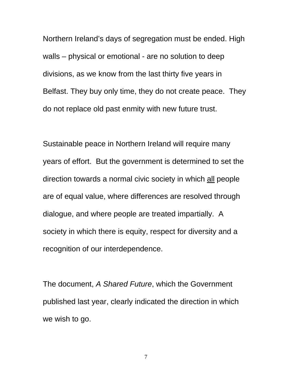Northern Ireland's days of segregation must be ended. High walls – physical or emotional - are no solution to deep divisions, as we know from the last thirty five years in Belfast. They buy only time, they do not create peace. They do not replace old past enmity with new future trust.

Sustainable peace in Northern Ireland will require many years of effort. But the government is determined to set the direction towards a normal civic society in which all people are of equal value, where differences are resolved through dialogue, and where people are treated impartially. A society in which there is equity, respect for diversity and a recognition of our interdependence.

The document, *A Shared Future*, which the Government published last year, clearly indicated the direction in which we wish to go.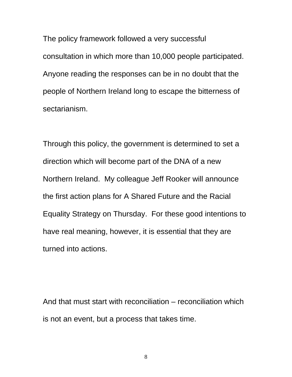The policy framework followed a very successful consultation in which more than 10,000 people participated. Anyone reading the responses can be in no doubt that the people of Northern Ireland long to escape the bitterness of sectarianism.

Through this policy, the government is determined to set a direction which will become part of the DNA of a new Northern Ireland. My colleague Jeff Rooker will announce the first action plans for A Shared Future and the Racial Equality Strategy on Thursday. For these good intentions to have real meaning, however, it is essential that they are turned into actions.

And that must start with reconciliation – reconciliation which is not an event, but a process that takes time.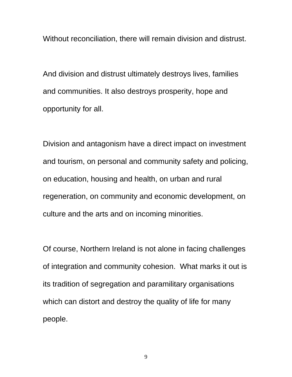Without reconciliation, there will remain division and distrust.

And division and distrust ultimately destroys lives, families and communities. It also destroys prosperity, hope and opportunity for all.

Division and antagonism have a direct impact on investment and tourism, on personal and community safety and policing, on education, housing and health, on urban and rural regeneration, on community and economic development, on culture and the arts and on incoming minorities.

Of course, Northern Ireland is not alone in facing challenges of integration and community cohesion. What marks it out is its tradition of segregation and paramilitary organisations which can distort and destroy the quality of life for many people.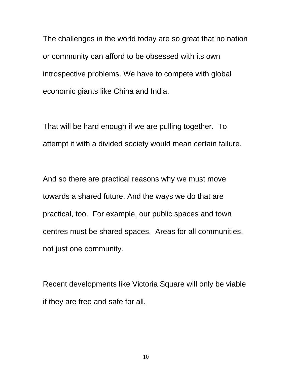The challenges in the world today are so great that no nation or community can afford to be obsessed with its own introspective problems. We have to compete with global economic giants like China and India.

That will be hard enough if we are pulling together. To attempt it with a divided society would mean certain failure.

And so there are practical reasons why we must move towards a shared future. And the ways we do that are practical, too. For example, our public spaces and town centres must be shared spaces. Areas for all communities, not just one community.

Recent developments like Victoria Square will only be viable if they are free and safe for all.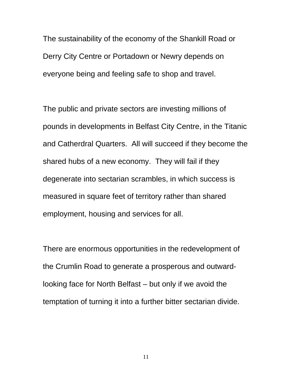The sustainability of the economy of the Shankill Road or Derry City Centre or Portadown or Newry depends on everyone being and feeling safe to shop and travel.

The public and private sectors are investing millions of pounds in developments in Belfast City Centre, in the Titanic and Catherdral Quarters. All will succeed if they become the shared hubs of a new economy. They will fail if they degenerate into sectarian scrambles, in which success is measured in square feet of territory rather than shared employment, housing and services for all.

There are enormous opportunities in the redevelopment of the Crumlin Road to generate a prosperous and outwardlooking face for North Belfast – but only if we avoid the temptation of turning it into a further bitter sectarian divide.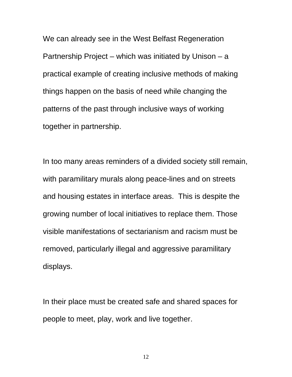We can already see in the West Belfast Regeneration Partnership Project – which was initiated by Unison – a practical example of creating inclusive methods of making things happen on the basis of need while changing the patterns of the past through inclusive ways of working together in partnership.

In too many areas reminders of a divided society still remain, with paramilitary murals along peace-lines and on streets and housing estates in interface areas. This is despite the growing number of local initiatives to replace them. Those visible manifestations of sectarianism and racism must be removed, particularly illegal and aggressive paramilitary displays.

In their place must be created safe and shared spaces for people to meet, play, work and live together.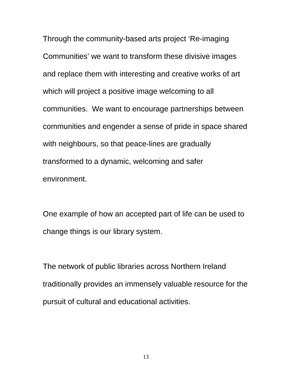Through the community-based arts project 'Re-imaging Communities' we want to transform these divisive images and replace them with interesting and creative works of art which will project a positive image welcoming to all communities. We want to encourage partnerships between communities and engender a sense of pride in space shared with neighbours, so that peace-lines are gradually transformed to a dynamic, welcoming and safer environment.

One example of how an accepted part of life can be used to change things is our library system.

The network of public libraries across Northern Ireland traditionally provides an immensely valuable resource for the pursuit of cultural and educational activities.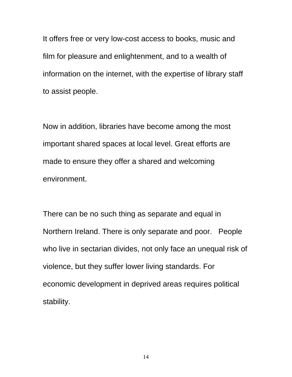It offers free or very low-cost access to books, music and film for pleasure and enlightenment, and to a wealth of information on the internet, with the expertise of library staff to assist people.

Now in addition, libraries have become among the most important shared spaces at local level. Great efforts are made to ensure they offer a shared and welcoming environment.

There can be no such thing as separate and equal in Northern Ireland. There is only separate and poor. People who live in sectarian divides, not only face an unequal risk of violence, but they suffer lower living standards. For economic development in deprived areas requires political stability.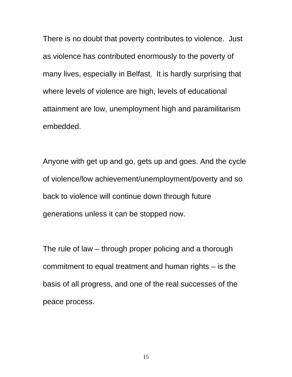There is no doubt that poverty contributes to violence. Just as violence has contributed enormously to the poverty of many lives, especially in Belfast. It is hardly surprising that where levels of violence are high, levels of educational attainment are low, unemployment high and paramilitarism embedded.

Anyone with get up and go, gets up and goes. And the cycle of violence/low achievement/unemployment/poverty and so back to violence will continue down through future generations unless it can be stopped now.

The rule of law – through proper policing and a thorough commitment to equal treatment and human rights – is the basis of all progress, and one of the real successes of the peace process.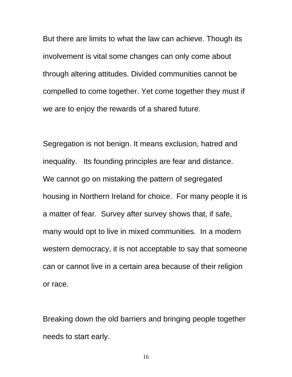But there are limits to what the law can achieve. Though its involvement is vital some changes can only come about through altering attitudes. Divided communities cannot be compelled to come together. Yet come together they must if we are to enjoy the rewards of a shared future.

Segregation is not benign. It means exclusion, hatred and inequality. Its founding principles are fear and distance. We cannot go on mistaking the pattern of segregated housing in Northern Ireland for choice. For many people it is a matter of fear. Survey after survey shows that, if safe, many would opt to live in mixed communities. In a modern western democracy, it is not acceptable to say that someone can or cannot live in a certain area because of their religion or race.

Breaking down the old barriers and bringing people together needs to start early.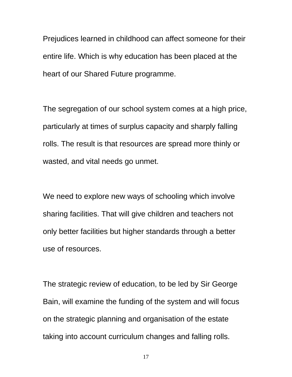Prejudices learned in childhood can affect someone for their entire life. Which is why education has been placed at the heart of our Shared Future programme.

The segregation of our school system comes at a high price, particularly at times of surplus capacity and sharply falling rolls. The result is that resources are spread more thinly or wasted, and vital needs go unmet.

We need to explore new ways of schooling which involve sharing facilities. That will give children and teachers not only better facilities but higher standards through a better use of resources.

The strategic review of education, to be led by Sir George Bain, will examine the funding of the system and will focus on the strategic planning and organisation of the estate taking into account curriculum changes and falling rolls.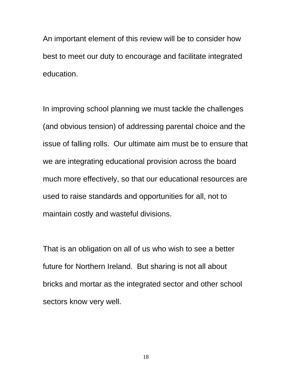An important element of this review will be to consider how best to meet our duty to encourage and facilitate integrated education.

In improving school planning we must tackle the challenges (and obvious tension) of addressing parental choice and the issue of falling rolls. Our ultimate aim must be to ensure that we are integrating educational provision across the board much more effectively, so that our educational resources are used to raise standards and opportunities for all, not to maintain costly and wasteful divisions.

That is an obligation on all of us who wish to see a better future for Northern Ireland. But sharing is not all about bricks and mortar as the integrated sector and other school sectors know very well.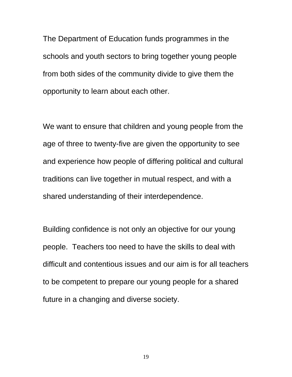The Department of Education funds programmes in the schools and youth sectors to bring together young people from both sides of the community divide to give them the opportunity to learn about each other.

We want to ensure that children and young people from the age of three to twenty-five are given the opportunity to see and experience how people of differing political and cultural traditions can live together in mutual respect, and with a shared understanding of their interdependence.

Building confidence is not only an objective for our young people. Teachers too need to have the skills to deal with difficult and contentious issues and our aim is for all teachers to be competent to prepare our young people for a shared future in a changing and diverse society.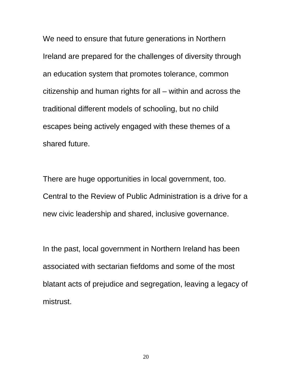We need to ensure that future generations in Northern Ireland are prepared for the challenges of diversity through an education system that promotes tolerance, common citizenship and human rights for all – within and across the traditional different models of schooling, but no child escapes being actively engaged with these themes of a shared future.

There are huge opportunities in local government, too. Central to the Review of Public Administration is a drive for a new civic leadership and shared, inclusive governance.

In the past, local government in Northern Ireland has been associated with sectarian fiefdoms and some of the most blatant acts of prejudice and segregation, leaving a legacy of mistrust.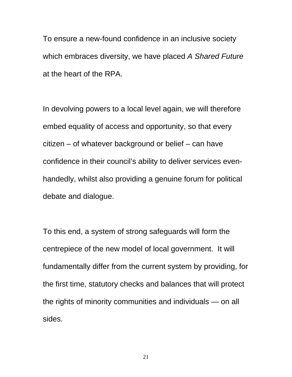To ensure a new-found confidence in an inclusive society which embraces diversity, we have placed *A Shared Future* at the heart of the RPA.

In devolving powers to a local level again, we will therefore embed equality of access and opportunity, so that every citizen – of whatever background or belief – can have confidence in their council's ability to deliver services evenhandedly, whilst also providing a genuine forum for political debate and dialogue.

To this end, a system of strong safeguards will form the centrepiece of the new model of local government. It will fundamentally differ from the current system by providing, for the first time, statutory checks and balances that will protect the rights of minority communities and individuals — on all sides.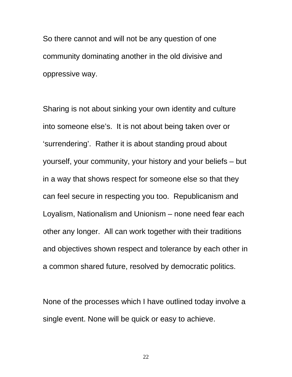So there cannot and will not be any question of one community dominating another in the old divisive and oppressive way.

Sharing is not about sinking your own identity and culture into someone else's. It is not about being taken over or 'surrendering'. Rather it is about standing proud about yourself, your community, your history and your beliefs – but in a way that shows respect for someone else so that they can feel secure in respecting you too. Republicanism and Loyalism, Nationalism and Unionism – none need fear each other any longer. All can work together with their traditions and objectives shown respect and tolerance by each other in a common shared future, resolved by democratic politics.

None of the processes which I have outlined today involve a single event. None will be quick or easy to achieve.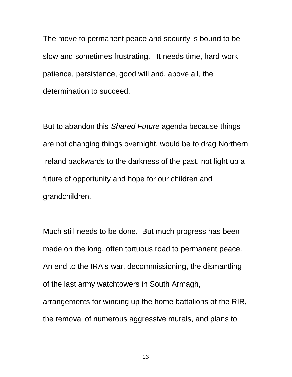The move to permanent peace and security is bound to be slow and sometimes frustrating. It needs time, hard work, patience, persistence, good will and, above all, the determination to succeed.

But to abandon this *Shared Future* agenda because things are not changing things overnight, would be to drag Northern Ireland backwards to the darkness of the past, not light up a future of opportunity and hope for our children and grandchildren.

Much still needs to be done. But much progress has been made on the long, often tortuous road to permanent peace. An end to the IRA's war, decommissioning, the dismantling of the last army watchtowers in South Armagh, arrangements for winding up the home battalions of the RIR, the removal of numerous aggressive murals, and plans to